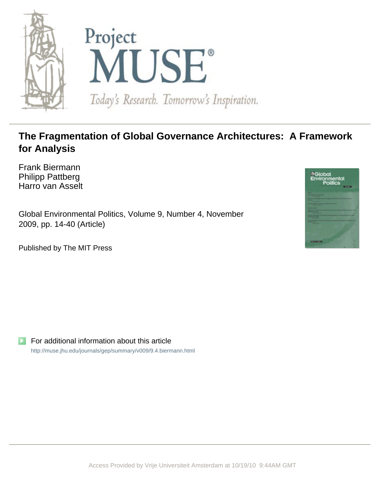



## **The Fragmentation of Global Governance Architectures: A Framework for Analysis**

Frank Biermann Philipp Pattberg Harro van Asselt

Global Environmental Politics, Volume 9, Number 4, November 2009, pp. 14-40 (Article)

Published by The MIT Press



For additional information about this article <http://muse.jhu.edu/journals/gep/summary/v009/9.4.biermann.html>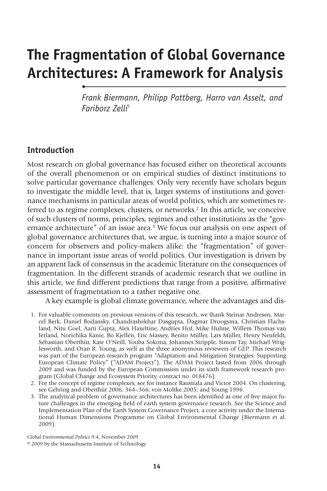# **The Fragmentation of Global Governance Architectures: A Framework for Analysis**

*Frank Biermann, Philipp Pattberg, Harro van Asselt, and Fariborz Zelli*<sup>1</sup>

## **Introduction**

•

Most research on global governance has focused either on theoretical accounts of the overall phenomenon or on empirical studies of distinct institutions to solve particular governance challenges. Only very recently have scholars begun to investigate the middle level, that is, larger systems of institutions and governance mechanisms in particular areas of world politics, which are sometimes referred to as regime complexes, clusters, or networks.<sup>2</sup> In this article, we conceive of such clusters of norms, principles, regimes and other institutions as the "governance architecture" of an issue area.<sup>3</sup> We focus our analysis on one aspect of global governance architectures that, we argue, is turning into a major source of concern for observers and policy-makers alike: the "fragmentation" of governance in important issue areas of world politics. Our investigation is driven by an apparent lack of consensus in the academic literature on the consequences of fragmentation. In the different strands of academic research that we outline in this article, we find different predictions that range from a positive, affirmative assessment of fragmentation to a rather negative one.

A key example is global climate governance, where the advantages and dis-

- 1. For valuable comments on previous versions of this research, we thank Steinar Andresen, Marcel Berk, Daniel Bodansky, Chandrashekhar Dasgupta, Dagmar Droogsma, Christian Flachsland, Nitu Goel, Aarti Gupta, Alex Haxeltine, Andries Hof, Mike Hulme, Willem Thomas van Ierland, Norichika Kanie, Bo Kjellén, Eric Massey, Benito Müller, Lars Müller, Henry Neufeldt, Sebastian Oberthür, Kate O'Neill, Youba Sokona, Johannes Stripple, Simon Tay, Michael Wriglesworth, and Oran R. Young, as well as the three anonymous reviewers of *GEP.* This research was part of the European research program "Adaptation and Mitigation Strategies: Supporting European Climate Policy" ("ADAM Project"). The ADAM Project lasted from 2006 through 2009 and was funded by the European Commission under its sixth framework research program (Global Change and Ecosystem Priority, contract no. 018476).
- 2. For the concept of regime complexes, see for instance Raustiala and Victor 2004. On clustering, see Gehring and Oberthür 2006, 364–366; von Moltke 2005; and Young 1996.
- 3. The analytical problem of governance architectures has been identified as one of five major future challenges in the emerging field of earth system governance research. See the Science and Implementation Plan of the Earth System Governance Project, a core activity under the International Human Dimensions Programme on Global Environmental Change (Biermann et al. 2009).

*Global Environmental Politics* 9:4, November 2009 © 2009 by the Massachusetts Institute of Technology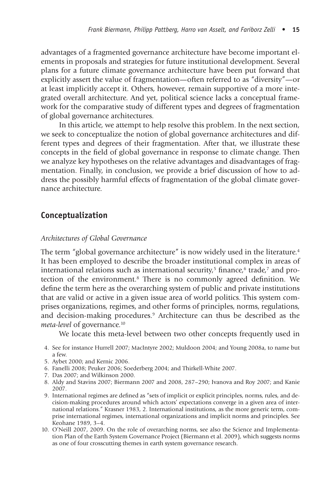advantages of a fragmented governance architecture have become important elements in proposals and strategies for future institutional development. Several plans for a future climate governance architecture have been put forward that explicitly assert the value of fragmentation—often referred to as "diversity"—or at least implicitly accept it. Others, however, remain supportive of a more integrated overall architecture. And yet, political science lacks a conceptual framework for the comparative study of different types and degrees of fragmentation of global governance architectures.

In this article, we attempt to help resolve this problem. In the next section, we seek to conceptualize the notion of global governance architectures and different types and degrees of their fragmentation. After that, we illustrate these concepts in the field of global governance in response to climate change. Then we analyze key hypotheses on the relative advantages and disadvantages of fragmentation. Finally, in conclusion, we provide a brief discussion of how to address the possibly harmful effects of fragmentation of the global climate governance architecture.

## **Conceptualization**

### *Architectures of Global Governance*

The term "global governance architecture" is now widely used in the literature.<sup>4</sup> It has been employed to describe the broader institutional complex in areas of international relations such as international security,<sup>5</sup> finance,<sup>6</sup> trade,<sup>7</sup> and protection of the environment. $8$  There is no commonly agreed definition. We define the term here as the overarching system of public and private institutions that are valid or active in a given issue area of world politics. This system comprises organizations, regimes, and other forms of principles, norms, regulations, and decision-making procedures.9 Architecture can thus be described as the *meta-level* of governance.10

We locate this meta-level between two other concepts frequently used in

- 4. See for instance Hurrell 2007; MacIntyre 2002; Muldoon 2004; and Young 2008a, to name but a few.
- 5. Aybet 2000; and Kernic 2006.
- 6. Fanelli 2008; Peuker 2006; Soederberg 2004; and Thirkell-White 2007.
- 7. Das 2007; and Wilkinson 2000.
- 8. Aldy and Stavins 2007; Biermann 2007 and 2008, 287–290; Ivanova and Roy 2007; and Kanie 2007.
- 9. International regimes are defined as "sets of implicit or explicit principles, norms, rules, and decision-making procedures around which actors' expectations converge in a given area of international relations." Krasner 1983, 2. International institutions, as the more generic term, comprise international regimes, international organizations and implicit norms and principles. See Keohane 1989, 3–4.
- 10. O'Neill 2007, 2009. On the role of overarching norms, see also the Science and Implementation Plan of the Earth System Governance Project (Biermann et al. 2009), which suggests norms as one of four crosscutting themes in earth system governance research.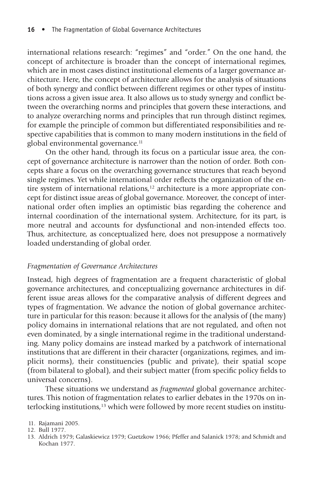international relations research: "regimes" and "order." On the one hand, the concept of architecture is broader than the concept of international regimes, which are in most cases distinct institutional elements of a larger governance architecture. Here, the concept of architecture allows for the analysis of situations of both synergy and conflict between different regimes or other types of institutions across a given issue area. It also allows us to study synergy and conflict between the overarching norms and principles that govern these interactions, and to analyze overarching norms and principles that run through distinct regimes, for example the principle of common but differentiated responsibilities and respective capabilities that is common to many modern institutions in the field of global environmental governance.<sup>11</sup>

On the other hand, through its focus on a particular issue area, the concept of governance architecture is narrower than the notion of order. Both concepts share a focus on the overarching governance structures that reach beyond single regimes. Yet while international order reflects the organization of the entire system of international relations, $12$  architecture is a more appropriate concept for distinct issue areas of global governance. Moreover, the concept of international order often implies an optimistic bias regarding the coherence and internal coordination of the international system. Architecture, for its part, is more neutral and accounts for dysfunctional and non-intended effects too. Thus, architecture, as conceptualized here, does not presuppose a normatively loaded understanding of global order.

#### *Fragmentation of Governance Architectures*

Instead, high degrees of fragmentation are a frequent characteristic of global governance architectures, and conceptualizing governance architectures in different issue areas allows for the comparative analysis of different degrees and types of fragmentation. We advance the notion of global governance architecture in particular for this reason: because it allows for the analysis of (the many) policy domains in international relations that are not regulated, and often not even dominated, by a single international regime in the traditional understanding. Many policy domains are instead marked by a patchwork of international institutions that are different in their character (organizations, regimes, and implicit norms), their constituencies (public and private), their spatial scope (from bilateral to global), and their subject matter (from specific policy fields to universal concerns).

These situations we understand as *fragmented* global governance architectures. This notion of fragmentation relates to earlier debates in the 1970s on interlocking institutions,<sup>13</sup> which were followed by more recent studies on institu-

<sup>11.</sup> Rajamani 2005.

<sup>12.</sup> Bull 1977.

<sup>13.</sup> Aldrich 1979; Galaskiewicz 1979; Guetzkow 1966; Pfeffer and Salanick 1978; and Schmidt and Kochan 1977.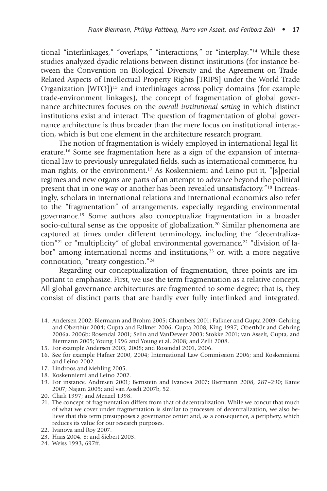tional "interlinkages," "overlaps," "interactions," or "interplay."14 While these studies analyzed dyadic relations between distinct institutions (for instance between the Convention on Biological Diversity and the Agreement on Trade-Related Aspects of Intellectual Property Rights [TRIPS] under the World Trade Organization [WTO])<sup>15</sup> and interlinkages across policy domains (for example trade-environment linkages), the concept of fragmentation of global governance architectures focuses on the *overall institutional setting* in which distinct institutions exist and interact. The question of fragmentation of global governance architecture is thus broader than the mere focus on institutional interaction, which is but one element in the architecture research program.

The notion of fragmentation is widely employed in international legal literature.16 Some see fragmentation here as a sign of the expansion of international law to previously unregulated fields, such as international commerce, human rights, or the environment.<sup>17</sup> As Koskenniemi and Leino put it, "[s]pecial regimes and new organs are parts of an attempt to advance beyond the political present that in one way or another has been revealed unsatisfactory."18 Increasingly, scholars in international relations and international economics also refer to the "fragmentation" of arrangements, especially regarding environmental governance.19 Some authors also conceptualize fragmentation in a broader socio-cultural sense as the opposite of globalization.<sup>20</sup> Similar phenomena are captured at times under different terminology, including the "decentralization"<sup>21</sup> or "multiplicity" of global environmental governance,<sup>22</sup> "division of labor" among international norms and institutions,<sup>23</sup> or, with a more negative connotation, "treaty congestion."24

Regarding our conceptualization of fragmentation, three points are important to emphasize. First, we use the term fragmentation as a relative concept. All global governance architectures are fragmented to some degree; that is, they consist of distinct parts that are hardly ever fully interlinked and integrated.

- 14. Andersen 2002; Biermann and Brohm 2005; Chambers 2001; Falkner and Gupta 2009; Gehring and Oberthür 2004; Gupta and Falkner 2006; Gupta 2008; King 1997; Oberthür and Gehring 2006a, 2006b; Rosendal 2001; Selin and VanDeveer 2003; Stokke 2001; van Asselt, Gupta, and Biermann 2005; Young 1996 and Young et al. 2008; and Zelli 2008.
- 15. For example Andersen 2003, 2008; and Rosendal 2001, 2006.
- 16. See for example Hafner 2000, 2004; International Law Commission 2006; and Koskenniemi and Leino 2002.
- 17. Lindroos and Mehling 2005.
- 18. Koskenniemi and Leino 2002.
- 19. For instance, Andresen 2001; Bernstein and Ivanova 2007; Biermann 2008, 287–290; Kanie 2007; Najam 2005; and van Asselt 2007b, 52.
- 20. Clark 1997; and Menzel 1998.
- 21. The concept of fragmentation differs from that of decentralization. While we concur that much of what we cover under fragmentation is similar to processes of decentralization, we also believe that this term presupposes a governance center and, as a consequence, a periphery, which reduces its value for our research purposes.
- 22. Ivanova and Roy 2007.
- 23. Haas 2004, 8; and Siebert 2003.
- 24. Weiss 1993, 697ff.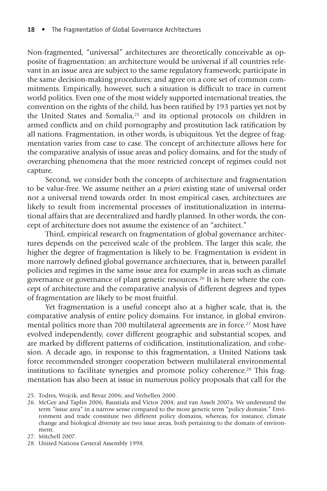Non-fragmented, "universal" architectures are theoretically conceivable as opposite of fragmentation: an architecture would be universal if all countries relevant in an issue area are subject to the same regulatory framework; participate in the same decision-making procedures; and agree on a core set of common commitments. Empirically, however, such a situation is difficult to trace in current world politics. Even one of the most widely supported international treaties, the convention on the rights of the child, has been ratified by 193 parties yet not by the United States and Somalia,25 and its optional protocols on children in armed conflicts and on child pornography and prostitution lack ratification by all nations. Fragmentation, in other words, is ubiquitous. Yet the degree of fragmentation varies from case to case. The concept of architecture allows here for the comparative analysis of issue areas and policy domains, and for the study of overarching phenomena that the more restricted concept of regimes could not capture.

Second, we consider both the concepts of architecture and fragmentation to be value-free. We assume neither an *a priori* existing state of universal order nor a universal trend towards order. In most empirical cases, architectures are likely to result from incremental processes of institutionalization in international affairs that are decentralized and hardly planned. In other words, the concept of architecture does not assume the existence of an "architect."

Third, empirical research on fragmentation of global governance architectures depends on the perceived scale of the problem. The larger this scale, the higher the degree of fragmentation is likely to be. Fragmentation is evident in more narrowly defined global governance architectures, that is, between parallel policies and regimes in the same issue area for example in areas such as climate governance or governance of plant genetic resources.26 It is here where the concept of architecture and the comparative analysis of different degrees and types of fragmentation are likely to be most fruitful.

Yet fragmentation is a useful concept also at a higher scale, that is, the comparative analysis of entire policy domains. For instance, in global environmental politics more than 700 multilateral agreements are in force.<sup>27</sup> Most have evolved independently, cover different geographic and substantial scopes, and are marked by different patterns of codification, institutionalization, and cohesion. A decade ago, in response to this fragmentation, a United Nations task force recommended stronger cooperation between multilateral environmental institutions to facilitate synergies and promote policy coherence.<sup>28</sup> This fragmentation has also been at issue in numerous policy proposals that call for the

- 25. Todres, Wojcik, and Revaz 2006; and Verhellen 2000.
- 26. McGee and Taplin 2006; Raustiala and Victor 2004; and van Asselt 2007a. We understand the term "issue area" in a narrow sense compared to the more generic term "policy domain." Environment and trade constitute two different policy domains, whereas, for instance, climate change and biological diversity are two issue areas, both pertaining to the domain of environment.

28. United Nations General Assembly 1998.

<sup>27.</sup> Mitchell 2007.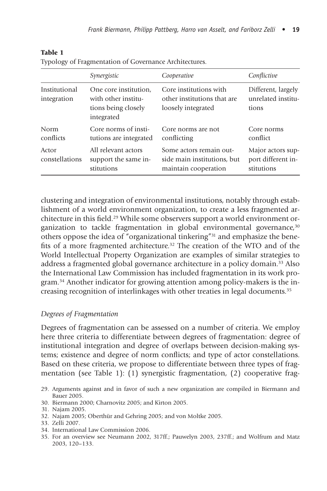|                              | Synergistic                                                                       | Cooperative                                                                    | Conflictive                                           |
|------------------------------|-----------------------------------------------------------------------------------|--------------------------------------------------------------------------------|-------------------------------------------------------|
| Institutional<br>integration | One core institution,<br>with other institu-<br>tions being closely<br>integrated | Core institutions with<br>other institutions that are<br>loosely integrated    | Different, largely<br>unrelated institu-<br>tions     |
| Norm<br>conflicts            | Core norms of insti-<br>tutions are integrated                                    | Core norms are not<br>conflicting                                              | Core norms<br>conflict                                |
| Actor<br>constellations      | All relevant actors<br>support the same in-<br>stitutions                         | Some actors remain out-<br>side main institutions, but<br>maintain cooperation | Major actors sup-<br>port different in-<br>stitutions |

#### Table 1

Typology of Fragmentation of Governance Architectures.

clustering and integration of environmental institutions, notably through establishment of a world environment organization, to create a less fragmented architecture in this field.<sup>29</sup> While some observers support a world environment organization to tackle fragmentation in global environmental governance,<sup>30</sup> others oppose the idea of "organizational tinkering"31 and emphasize the benefits of a more fragmented architecture.<sup>32</sup> The creation of the WTO and of the World Intellectual Property Organization are examples of similar strategies to address a fragmented global governance architecture in a policy domain.33 Also the International Law Commission has included fragmentation in its work program.34 Another indicator for growing attention among policy-makers is the increasing recognition of interlinkages with other treaties in legal documents.35

#### *Degrees of Fragmentation*

Degrees of fragmentation can be assessed on a number of criteria. We employ here three criteria to differentiate between degrees of fragmentation: degree of institutional integration and degree of overlaps between decision-making systems; existence and degree of norm conflicts; and type of actor constellations. Based on these criteria, we propose to differentiate between three types of fragmentation (see Table 1): (1) synergistic fragmentation, (2) cooperative frag-

29. Arguments against and in favor of such a new organization are compiled in Biermann and Bauer 2005.

30. Biermann 2000; Charnovitz 2005; and Kirton 2005.

- 32. Najam 2005; Oberthür and Gehring 2005; and von Moltke 2005.
- 33. Zelli 2007.
- 34. International Law Commission 2006.
- 35. For an overview see Neumann 2002, 317ff.; Pauwelyn 2003, 237ff.; and Wolfrum and Matz 2003, 120–133.

<sup>31.</sup> Najam 2005.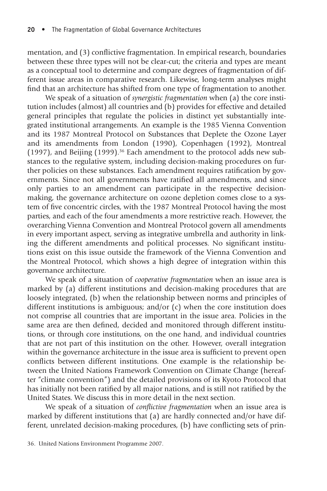mentation, and (3) conflictive fragmentation. In empirical research, boundaries between these three types will not be clear-cut; the criteria and types are meant as a conceptual tool to determine and compare degrees of fragmentation of different issue areas in comparative research. Likewise, long-term analyses might find that an architecture has shifted from one type of fragmentation to another.

We speak of a situation of *synergistic fragmentation* when (a) the core institution includes (almost) all countries and (b) provides for effective and detailed general principles that regulate the policies in distinct yet substantially integrated institutional arrangements. An example is the 1985 Vienna Convention and its 1987 Montreal Protocol on Substances that Deplete the Ozone Layer and its amendments from London (1990), Copenhagen (1992), Montreal (1997), and Beijing (1999).<sup>36</sup> Each amendment to the protocol adds new substances to the regulative system, including decision-making procedures on further policies on these substances. Each amendment requires ratification by governments. Since not all governments have ratified all amendments, and since only parties to an amendment can participate in the respective decisionmaking, the governance architecture on ozone depletion comes close to a system of five concentric circles, with the 1987 Montreal Protocol having the most parties, and each of the four amendments a more restrictive reach. However, the overarching Vienna Convention and Montreal Protocol govern all amendments in every important aspect, serving as integrative umbrella and authority in linking the different amendments and political processes. No significant institutions exist on this issue outside the framework of the Vienna Convention and the Montreal Protocol, which shows a high degree of integration within this governance architecture.

We speak of a situation of *cooperative fragmentation* when an issue area is marked by (a) different institutions and decision-making procedures that are loosely integrated, (b) when the relationship between norms and principles of different institutions is ambiguous; and/or (c) when the core institution does not comprise all countries that are important in the issue area. Policies in the same area are then defined, decided and monitored through different institutions, or through core institutions, on the one hand, and individual countries that are not part of this institution on the other. However, overall integration within the governance architecture in the issue area is sufficient to prevent open conflicts between different institutions. One example is the relationship between the United Nations Framework Convention on Climate Change (hereafter "climate convention") and the detailed provisions of its Kyoto Protocol that has initially not been ratified by all major nations, and is still not ratified by the United States. We discuss this in more detail in the next section.

We speak of a situation of *conflictive fragmentation* when an issue area is marked by different institutions that (a) are hardly connected and/or have different, unrelated decision-making procedures, (b) have conflicting sets of prin-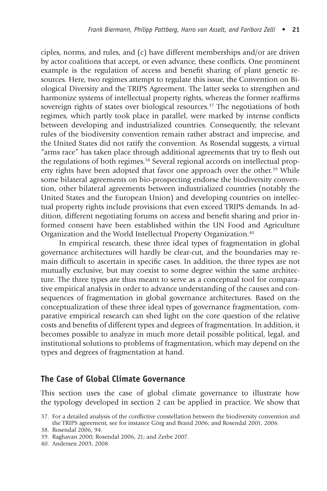ciples, norms, and rules, and (c) have different memberships and/or are driven by actor coalitions that accept, or even advance, these conflicts. One prominent example is the regulation of access and benefit sharing of plant genetic resources. Here, two regimes attempt to regulate this issue, the Convention on Biological Diversity and the TRIPS Agreement. The latter seeks to strengthen and harmonize systems of intellectual property rights, whereas the former reaffirms sovereign rights of states over biological resources.<sup>37</sup> The negotiations of both regimes, which partly took place in parallel, were marked by intense conflicts between developing and industrialized countries. Consequently, the relevant rules of the biodiversity convention remain rather abstract and imprecise, and the United States did not ratify the convention. As Rosendal suggests, a virtual "arms race" has taken place through additional agreements that try to flesh out the regulations of both regimes.<sup>38</sup> Several regional accords on intellectual property rights have been adopted that favor one approach over the other.<sup>39</sup> While some bilateral agreements on bio-prospecting endorse the biodiversity convention, other bilateral agreements between industrialized countries (notably the United States and the European Union) and developing countries on intellectual property rights include provisions that even exceed TRIPS demands. In addition, different negotiating forums on access and benefit sharing and prior informed consent have been established within the UN Food and Agriculture Organization and the World Intellectual Property Organization.40

In empirical research, these three ideal types of fragmentation in global governance architectures will hardly be clear-cut, and the boundaries may remain difficult to ascertain in specific cases. In addition, the three types are not mutually exclusive, but may coexist to some degree within the same architecture. The three types are thus meant to serve as a conceptual tool for comparative empirical analysis in order to advance understanding of the causes and consequences of fragmentation in global governance architectures. Based on the conceptualization of these three ideal types of governance fragmentation, comparative empirical research can shed light on the core question of the relative costs and benefits of different types and degrees of fragmentation. In addition, it becomes possible to analyze in much more detail possible political, legal, and institutional solutions to problems of fragmentation, which may depend on the types and degrees of fragmentation at hand.

## **The Case of Global Climate Governance**

This section uses the case of global climate governance to illustrate how the typology developed in section 2 can be applied in practice. We show that

40. Andersen 2003, 2008.

<sup>37.</sup> For a detailed analysis of the conflictive constellation between the biodiversity convention and the TRIPS agreement, see for instance Görg and Brand 2006; and Rosendal 2001, 2006.

<sup>38.</sup> Rosendal 2006, 94.

<sup>39.</sup> Raghavan 2000; Rosendal 2006, 21; and Zerbe 2007.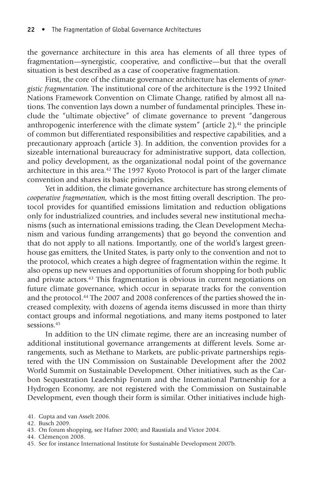the governance architecture in this area has elements of all three types of fragmentation—synergistic, cooperative, and conflictive—but that the overall situation is best described as a case of cooperative fragmentation.

First, the core of the climate governance architecture has elements of *synergistic fragmentation.* The institutional core of the architecture is the 1992 United Nations Framework Convention on Climate Change, ratified by almost all nations. The convention lays down a number of fundamental principles. These include the "ultimate objective" of climate governance to prevent "dangerous anthropogenic interference with the climate system" (article  $2$ ),<sup>41</sup> the principle of common but differentiated responsibilities and respective capabilities, and a precautionary approach (article 3). In addition, the convention provides for a sizeable international bureaucracy for administrative support, data collection, and policy development, as the organizational nodal point of the governance architecture in this area.<sup>42</sup> The 1997 Kyoto Protocol is part of the larger climate convention and shares its basic principles.

Yet in addition, the climate governance architecture has strong elements of *cooperative fragmentation,* which is the most fitting overall description. The protocol provides for quantified emissions limitation and reduction obligations only for industrialized countries, and includes several new institutional mechanisms (such as international emissions trading, the Clean Development Mechanism and various funding arrangements) that go beyond the convention and that do not apply to all nations. Importantly, one of the world's largest greenhouse gas emitters, the United States, is party only to the convention and not to the protocol, which creates a high degree of fragmentation within the regime. It also opens up new venues and opportunities of forum shopping for both public and private actors.43 This fragmentation is obvious in current negotiations on future climate governance, which occur in separate tracks for the convention and the protocol.44 The 2007 and 2008 conferences of the parties showed the increased complexity, with dozens of agenda items discussed in more than thirty contact groups and informal negotiations, and many items postponed to later sessions.<sup>45</sup>

In addition to the UN climate regime, there are an increasing number of additional institutional governance arrangements at different levels. Some arrangements, such as Methane to Markets, are public-private partnerships registered with the UN Commission on Sustainable Development after the 2002 World Summit on Sustainable Development. Other initiatives, such as the Carbon Sequestration Leadership Forum and the International Partnership for a Hydrogen Economy, are not registered with the Commission on Sustainable Development, even though their form is similar. Other initiatives include high-

44. Clémençon 2008.

<sup>41.</sup> Gupta and van Asselt 2006.

<sup>42.</sup> Busch 2009.

<sup>43.</sup> On forum shopping, see Hafner 2000; and Raustiala and Victor 2004.

<sup>45.</sup> See for instance International Institute for Sustainable Development 2007b.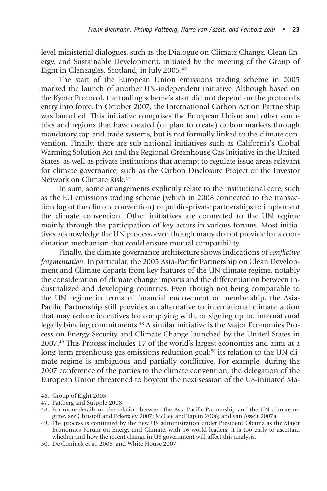level ministerial dialogues, such as the Dialogue on Climate Change, Clean Energy, and Sustainable Development, initiated by the meeting of the Group of Eight in Gleneagles, Scotland, in July 2005.46

The start of the European Union emissions trading scheme in 2005 marked the launch of another UN-independent initiative. Although based on the Kyoto Protocol, the trading scheme's start did not depend on the protocol's entry into force. In October 2007, the International Carbon Action Partnership was launched. This initiative comprises the European Union and other countries and regions that have created (or plan to create) carbon markets through mandatory cap-and-trade systems, but is not formally linked to the climate convention. Finally, there are sub-national initiatives such as California's Global Warming Solution Act and the Regional Greenhouse Gas Initiative in the United States, as well as private institutions that attempt to regulate issue areas relevant for climate governance, such as the Carbon Disclosure Project or the Investor Network on Climate Risk.47

In sum, some arrangements explicitly relate to the institutional core, such as the EU emissions trading scheme (which in 2008 connected to the transaction log of the climate convention) or public-private partnerships to implement the climate convention. Other initiatives are connected to the UN regime mainly through the participation of key actors in various forums. Most initiatives acknowledge the UN process, even though many do not provide for a coordination mechanism that could ensure mutual compatibility.

Finally, the climate governance architecture shows indications of *conflictive fragmentation.* In particular, the 2005 Asia-Pacific Partnership on Clean Development and Climate departs from key features of the UN climate regime, notably the consideration of climate change impacts and the differentiation between industrialized and developing countries. Even though not being comparable to the UN regime in terms of financial endowment or membership, the Asia-Pacific Partnership still provides an alternative to international climate action that may reduce incentives for complying with, or signing up to, international legally binding commitments.48 A similar initiative is the Major Economies Process on Energy Security and Climate Change launched by the United States in 2007.49 This Process includes 17 of the world's largest economies and aims at a long-term greenhouse gas emissions reduction goal;<sup>50</sup> its relation to the UN climate regime is ambiguous and partially conflictive. For example, during the 2007 conference of the parties to the climate convention, the delegation of the European Union threatened to boycott the next session of the US-initiated Ma-

50. De Coninck et al. 2008; and White House 2007.

<sup>46.</sup> Group of Eight 2005.

<sup>47.</sup> Pattberg and Stripple 2008.

<sup>48.</sup> For more details on the relation between the Asia-Pacific Partnership and the UN climate regime, see Christoff and Eckersley 2007; McGee and Taplin 2006; and van Asselt 2007a.

<sup>49.</sup> The process is continued by the new US administration under President Obama as the Major Economies Forum on Energy and Climate, with 16 world leaders. It is too early to ascertain whether and how the recent change in US government will affect this analysis.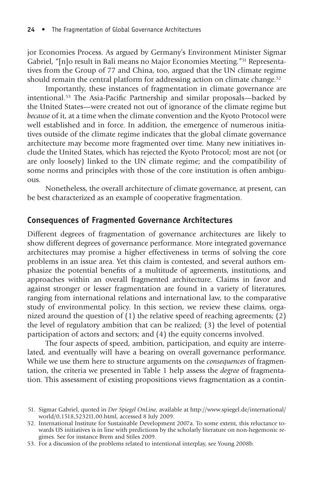jor Economies Process. As argued by Germany's Environment Minister Sigmar Gabriel, "[n]o result in Bali means no Major Economies Meeting."51 Representatives from the Group of 77 and China, too, argued that the UN climate regime should remain the central platform for addressing action on climate change.<sup>52</sup>

Importantly, these instances of fragmentation in climate governance are intentional.<sup>53</sup> The Asia-Pacific Partnership and similar proposals—backed by the United States—were created not out of ignorance of the climate regime but *because* of it, at a time when the climate convention and the Kyoto Protocol were well established and in force. In addition, the emergence of numerous initiatives outside of the climate regime indicates that the global climate governance architecture may become more fragmented over time. Many new initiatives include the United States, which has rejected the Kyoto Protocol; most are not (or are only loosely) linked to the UN climate regime; and the compatibility of some norms and principles with those of the core institution is often ambiguous.

Nonetheless, the overall architecture of climate governance, at present, can be best characterized as an example of cooperative fragmentation.

## **Consequences of Fragmented Governance Architectures**

Different degrees of fragmentation of governance architectures are likely to show different degrees of governance performance. More integrated governance architectures may promise a higher effectiveness in terms of solving the core problems in an issue area. Yet this claim is contested, and several authors emphasize the potential benefits of a multitude of agreements, institutions, and approaches within an overall fragmented architecture. Claims in favor and against stronger or lesser fragmentation are found in a variety of literatures, ranging from international relations and international law, to the comparative study of environmental policy. In this section, we review these claims, organized around the question of  $(1)$  the relative speed of reaching agreements;  $(2)$ the level of regulatory ambition that can be realized; (3) the level of potential participation of actors and sectors; and (4) the equity concerns involved.

The four aspects of speed, ambition, participation, and equity are interrelated, and eventually will have a bearing on overall governance performance. While we use them here to structure arguments on the *consequences* of fragmentation, the criteria we presented in Table 1 help assess the *degree* of fragmentation. This assessment of existing propositions views fragmentation as a contin-

<sup>51.</sup> Sigmar Gabriel, quoted in *Der Spiegel OnLine,* available at http://www.spiegel.de/international/ world/0,1518,523211,00.html, accessed 8 July 2009.

<sup>52.</sup> International Institute for Sustainable Development 2007a. To some extent, this reluctance towards US initiatives is in line with predictions by the scholarly literature on non-hegemonic regimes. See for instance Brem and Stiles 2009.

<sup>53.</sup> For a discussion of the problems related to intentional interplay, see Young 2008b.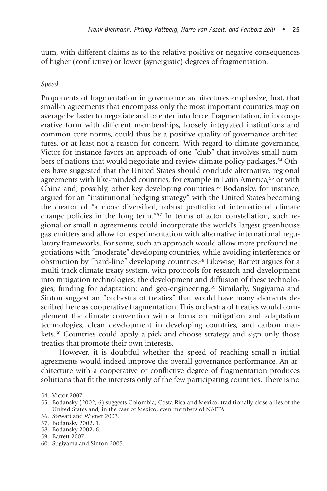uum, with different claims as to the relative positive or negative consequences of higher (conflictive) or lower (synergistic) degrees of fragmentation.

#### *Speed*

Proponents of fragmentation in governance architectures emphasize, first, that small-n agreements that encompass only the most important countries may on average be faster to negotiate and to enter into force. Fragmentation, in its cooperative form with different memberships, loosely integrated institutions and common core norms, could thus be a positive quality of governance architectures, or at least not a reason for concern. With regard to climate governance, Victor for instance favors an approach of one "club" that involves small numbers of nations that would negotiate and review climate policy packages.<sup>54</sup> Others have suggested that the United States should conclude alternative, regional agreements with like-minded countries, for example in Latin America,<sup>55</sup> or with China and, possibly, other key developing countries.<sup>56</sup> Bodansky, for instance, argued for an "institutional hedging strategy" with the United States becoming the creator of "a more diversified, robust portfolio of international climate change policies in the long term."57 In terms of actor constellation, such regional or small-n agreements could incorporate the world's largest greenhouse gas emitters and allow for experimentation with alternative international regulatory frameworks. For some, such an approach would allow more profound negotiations with "moderate" developing countries, while avoiding interference or obstruction by "hard-line" developing countries.58 Likewise, Barrett argues for a multi-track climate treaty system, with protocols for research and development into mitigation technologies; the development and diffusion of these technologies; funding for adaptation; and geo-engineering.59 Similarly, Sugiyama and Sinton suggest an "orchestra of treaties" that would have many elements described here as cooperative fragmentation. This orchestra of treaties would complement the climate convention with a focus on mitigation and adaptation technologies, clean development in developing countries, and carbon markets.<sup>60</sup> Countries could apply a pick-and-choose strategy and sign only those treaties that promote their own interests.

However, it is doubtful whether the speed of reaching small-n initial agreements would indeed improve the overall governance performance. An architecture with a cooperative or conflictive degree of fragmentation produces solutions that fit the interests only of the few participating countries. There is no

60. Sugiyama and Sinton 2005.

<sup>54.</sup> Victor 2007.

<sup>55.</sup> Bodansky (2002, 6) suggests Colombia, Costa Rica and Mexico, traditionally close allies of the United States and, in the case of Mexico, even members of NAFTA.

<sup>56.</sup> Stewart and Wiener 2003.

<sup>57.</sup> Bodansky 2002, 1.

<sup>58.</sup> Bodansky 2002, 6.

<sup>59.</sup> Barrett 2007.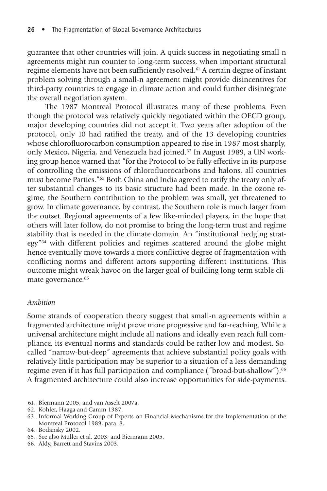guarantee that other countries will join. A quick success in negotiating small-n agreements might run counter to long-term success, when important structural regime elements have not been sufficiently resolved.<sup>61</sup> A certain degree of instant problem solving through a small-n agreement might provide disincentives for third-party countries to engage in climate action and could further disintegrate the overall negotiation system.

The 1987 Montreal Protocol illustrates many of these problems. Even though the protocol was relatively quickly negotiated within the OECD group, major developing countries did not accept it. Two years after adoption of the protocol, only 10 had ratified the treaty, and of the 13 developing countries whose chlorofluorocarbon consumption appeared to rise in 1987 most sharply, only Mexico, Nigeria, and Venezuela had joined.<sup>62</sup> In August 1989, a UN working group hence warned that "for the Protocol to be fully effective in its purpose of controlling the emissions of chlorofluorocarbons and halons, all countries must become Parties."63 Both China and India agreed to ratify the treaty only after substantial changes to its basic structure had been made. In the ozone regime, the Southern contribution to the problem was small, yet threatened to grow. In climate governance, by contrast, the Southern role is much larger from the outset. Regional agreements of a few like-minded players, in the hope that others will later follow, do not promise to bring the long-term trust and regime stability that is needed in the climate domain. An "institutional hedging strategy"64 with different policies and regimes scattered around the globe might hence eventually move towards a more conflictive degree of fragmentation with conflicting norms and different actors supporting different institutions. This outcome might wreak havoc on the larger goal of building long-term stable climate governance.<sup>65</sup>

#### *Ambition*

Some strands of cooperation theory suggest that small-n agreements within a fragmented architecture might prove more progressive and far-reaching. While a universal architecture might include all nations and ideally even reach full compliance, its eventual norms and standards could be rather low and modest. Socalled "narrow-but-deep" agreements that achieve substantial policy goals with relatively little participation may be superior to a situation of a less demanding regime even if it has full participation and compliance ("broad-but-shallow").<sup>66</sup> A fragmented architecture could also increase opportunities for side-payments.

- 61. Biermann 2005; and van Asselt 2007a.
- 62. Kohler, Haaga and Camm 1987.
- 63. Informal Working Group of Experts on Financial Mechanisms for the Implementation of the Montreal Protocol 1989, para. 8.
- 64. Bodansky 2002.
- 65. See also Müller et al. 2003; and Biermann 2005.
- 66. Aldy, Barrett and Stavins 2003.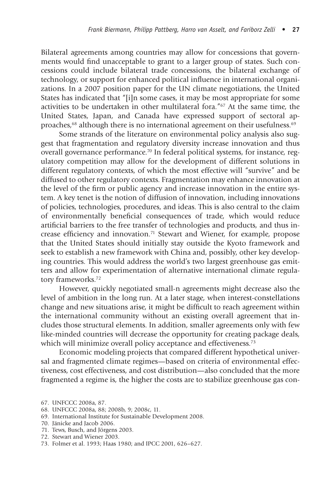Bilateral agreements among countries may allow for concessions that governments would find unacceptable to grant to a larger group of states. Such concessions could include bilateral trade concessions, the bilateral exchange of technology, or support for enhanced political influence in international organizations. In a 2007 position paper for the UN climate negotiations, the United States has indicated that "[i]n some cases, it may be most appropriate for some activities to be undertaken in other multilateral fora."<sup>67</sup> At the same time, the United States, Japan, and Canada have expressed support of sectoral approaches,<sup>68</sup> although there is no international agreement on their usefulness.<sup>69</sup>

Some strands of the literature on environmental policy analysis also suggest that fragmentation and regulatory diversity increase innovation and thus overall governance performance.70 In federal political systems, for instance, regulatory competition may allow for the development of different solutions in different regulatory contexts, of which the most effective will "survive" and be diffused to other regulatory contexts. Fragmentation may enhance innovation at the level of the firm or public agency and increase innovation in the entire system. A key tenet is the notion of diffusion of innovation, including innovations of policies, technologies, procedures, and ideas. This is also central to the claim of environmentally beneficial consequences of trade, which would reduce artificial barriers to the free transfer of technologies and products, and thus increase efficiency and innovation.<sup>71</sup> Stewart and Wiener, for example, propose that the United States should initially stay outside the Kyoto framework and seek to establish a new framework with China and, possibly, other key developing countries. This would address the world's two largest greenhouse gas emitters and allow for experimentation of alternative international climate regulatory frameworks.72

However, quickly negotiated small-n agreements might decrease also the level of ambition in the long run. At a later stage, when interest-constellations change and new situations arise, it might be difficult to reach agreement within the international community without an existing overall agreement that includes those structural elements. In addition, smaller agreements only with few like-minded countries will decrease the opportunity for creating package deals, which will minimize overall policy acceptance and effectiveness.<sup>73</sup>

Economic modeling projects that compared different hypothetical universal and fragmented climate regimes—based on criteria of environmental effectiveness, cost effectiveness, and cost distribution—also concluded that the more fragmented a regime is, the higher the costs are to stabilize greenhouse gas con-

<sup>67.</sup> UNFCCC 2008a, 87.

<sup>68.</sup> UNFCCC 2008a, 88; 2008b, 9; 2008c, 11.

<sup>69.</sup> International Institute for Sustainable Development 2008.

<sup>70.</sup> Jänicke and Jacob 2006.

<sup>71.</sup> Tews, Busch, and Jörgens 2003.

<sup>72.</sup> Stewart and Wiener 2003.

<sup>73.</sup> Folmer et al. 1993; Haas 1980; and IPCC 2001, 626–627.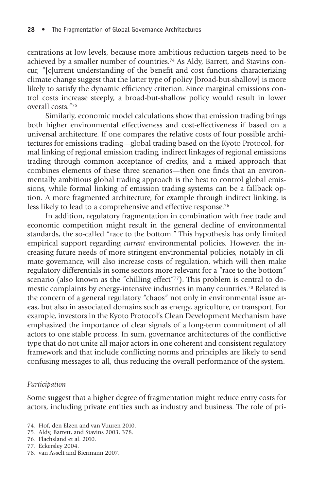centrations at low levels, because more ambitious reduction targets need to be achieved by a smaller number of countries.74 As Aldy, Barrett, and Stavins concur, "[c]urrent understanding of the benefit and cost functions characterizing climate change suggest that the latter type of policy [broad-but-shallow] is more likely to satisfy the dynamic efficiency criterion. Since marginal emissions control costs increase steeply, a broad-but-shallow policy would result in lower overall costs."75

Similarly, economic model calculations show that emission trading brings both higher environmental effectiveness and cost-effectiveness if based on a universal architecture. If one compares the relative costs of four possible architectures for emissions trading—global trading based on the Kyoto Protocol, formal linking of regional emission trading, indirect linkages of regional emissions trading through common acceptance of credits, and a mixed approach that combines elements of these three scenarios—then one finds that an environmentally ambitious global trading approach is the best to control global emissions, while formal linking of emission trading systems can be a fallback option. A more fragmented architecture, for example through indirect linking, is less likely to lead to a comprehensive and effective response.<sup>76</sup>

In addition, regulatory fragmentation in combination with free trade and economic competition might result in the general decline of environmental standards, the so-called "race to the bottom." This hypothesis has only limited empirical support regarding *current* environmental policies. However, the increasing future needs of more stringent environmental policies, notably in climate governance, will also increase costs of regulation, which will then make regulatory differentials in some sectors more relevant for a "race to the bottom" scenario (also known as the "chilling effect"<sup>77</sup>). This problem is central to domestic complaints by energy-intensive industries in many countries.78 Related is the concern of a general regulatory "chaos" not only in environmental issue areas, but also in associated domains such as energy, agriculture, or transport. For example, investors in the Kyoto Protocol's Clean Development Mechanism have emphasized the importance of clear signals of a long-term commitment of all actors to one stable process. In sum, governance architectures of the conflictive type that do not unite all major actors in one coherent and consistent regulatory framework and that include conflicting norms and principles are likely to send confusing messages to all, thus reducing the overall performance of the system.

#### *Participation*

Some suggest that a higher degree of fragmentation might reduce entry costs for actors, including private entities such as industry and business. The role of pri-

- 74. Hof, den Elzen and van Vuuren 2010.
- 75. Aldy, Barrett, and Stavins 2003, 378.
- 76. Flachsland et al. 2010.
- 77. Eckersley 2004.
- 78. van Asselt and Biermann 2007.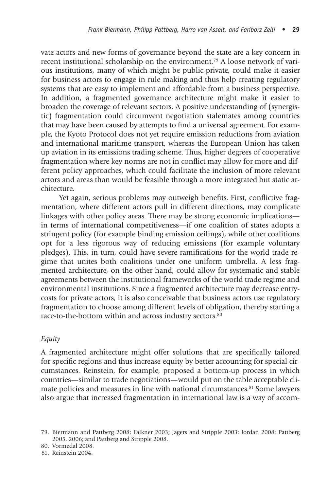vate actors and new forms of governance beyond the state are a key concern in recent institutional scholarship on the environment.<sup>79</sup> A loose network of various institutions, many of which might be public-private, could make it easier for business actors to engage in rule making and thus help creating regulatory systems that are easy to implement and affordable from a business perspective. In addition, a fragmented governance architecture might make it easier to broaden the coverage of relevant sectors. A positive understanding of (synergistic) fragmentation could circumvent negotiation stalemates among countries that may have been caused by attempts to find a universal agreement. For example, the Kyoto Protocol does not yet require emission reductions from aviation and international maritime transport, whereas the European Union has taken up aviation in its emissions trading scheme. Thus, higher degrees of cooperative fragmentation where key norms are not in conflict may allow for more and different policy approaches, which could facilitate the inclusion of more relevant actors and areas than would be feasible through a more integrated but static architecture.

Yet again, serious problems may outweigh benefits. First, conflictive fragmentation, where different actors pull in different directions, may complicate linkages with other policy areas. There may be strong economic implications in terms of international competitiveness—if one coalition of states adopts a stringent policy (for example binding emission ceilings), while other coalitions opt for a less rigorous way of reducing emissions (for example voluntary pledges). This, in turn, could have severe ramifications for the world trade regime that unites both coalitions under one uniform umbrella. A less fragmented architecture, on the other hand, could allow for systematic and stable agreements between the institutional frameworks of the world trade regime and environmental institutions. Since a fragmented architecture may decrease entrycosts for private actors, it is also conceivable that business actors use regulatory fragmentation to choose among different levels of obligation, thereby starting a race-to-the-bottom within and across industry sectors.<sup>80</sup>

## *Equity*

A fragmented architecture might offer solutions that are specifically tailored for specific regions and thus increase equity by better accounting for special circumstances. Reinstein, for example, proposed a bottom-up process in which countries—similar to trade negotiations—would put on the table acceptable climate policies and measures in line with national circumstances.<sup>81</sup> Some lawyers also argue that increased fragmentation in international law is a way of accom-

80. Vormedal 2008.

81. Reinstein 2004.

<sup>79.</sup> Biermann and Pattberg 2008; Falkner 2003; Jagers and Stripple 2003; Jordan 2008; Pattberg 2005, 2006; and Pattberg and Stripple 2008.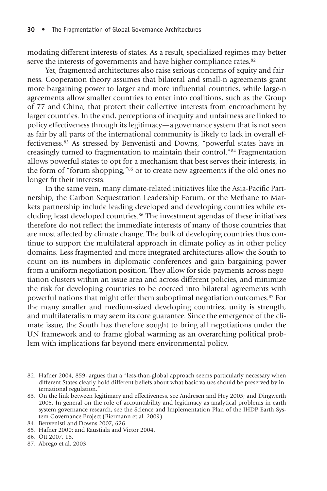modating different interests of states. As a result, specialized regimes may better serve the interests of governments and have higher compliance rates.<sup>82</sup>

Yet, fragmented architectures also raise serious concerns of equity and fairness. Cooperation theory assumes that bilateral and small-n agreements grant more bargaining power to larger and more influential countries, while large-n agreements allow smaller countries to enter into coalitions, such as the Group of 77 and China, that protect their collective interests from encroachment by larger countries. In the end, perceptions of inequity and unfairness are linked to policy effectiveness through its legitimacy—a governance system that is not seen as fair by all parts of the international community is likely to lack in overall effectiveness.83 As stressed by Benvenisti and Downs, "powerful states have increasingly turned to fragmentation to maintain their control."84 Fragmentation allows powerful states to opt for a mechanism that best serves their interests, in the form of "forum shopping,"85 or to create new agreements if the old ones no longer fit their interests.

In the same vein, many climate-related initiatives like the Asia-Pacific Partnership, the Carbon Sequestration Leadership Forum, or the Methane to Markets partnership include leading developed and developing countries while excluding least developed countries.86 The investment agendas of these initiatives therefore do not reflect the immediate interests of many of those countries that are most affected by climate change. The bulk of developing countries thus continue to support the multilateral approach in climate policy as in other policy domains. Less fragmented and more integrated architectures allow the South to count on its numbers in diplomatic conferences and gain bargaining power from a uniform negotiation position. They allow for side-payments across negotiation clusters within an issue area and across different policies, and minimize the risk for developing countries to be coerced into bilateral agreements with powerful nations that might offer them suboptimal negotiation outcomes.87 For the many smaller and medium-sized developing countries, unity is strength, and multilateralism may seem its core guarantee. Since the emergence of the climate issue, the South has therefore sought to bring all negotiations under the UN framework and to frame global warming as an overarching political problem with implications far beyond mere environmental policy.

- 82. Hafner 2004, 859, argues that a "less-than-global approach seems particularly necessary when different States clearly hold different beliefs about what basic values should be preserved by international regulation."
- 83. On the link between legitimacy and effectiveness, see Andresen and Hey 2005; and Dingwerth 2005. In general on the role of accountability and legitimacy as analytical problems in earth system governance research, see the Science and Implementation Plan of the IHDP Earth System Governance Project (Biermann et al. 2009).
- 84. Benvenisti and Downs 2007, 626.
- 85. Hafner 2000; and Raustiala and Victor 2004.
- 86. Ott 2007, 18.
- 87. Abrego et al. 2003.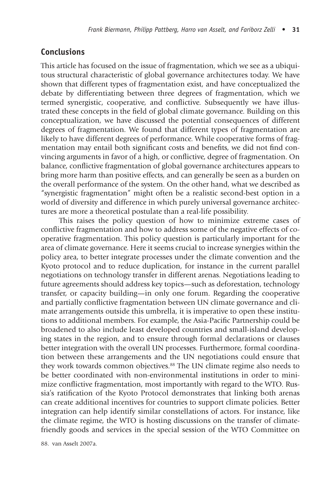## **Conclusions**

This article has focused on the issue of fragmentation, which we see as a ubiquitous structural characteristic of global governance architectures today. We have shown that different types of fragmentation exist, and have conceptualized the debate by differentiating between three degrees of fragmentation, which we termed synergistic, cooperative, and conflictive. Subsequently we have illustrated these concepts in the field of global climate governance. Building on this conceptualization, we have discussed the potential consequences of different degrees of fragmentation. We found that different types of fragmentation are likely to have different degrees of performance. While cooperative forms of fragmentation may entail both significant costs and benefits, we did not find convincing arguments in favor of a high, or conflictive, degree of fragmentation. On balance, conflictive fragmentation of global governance architectures appears to bring more harm than positive effects, and can generally be seen as a burden on the overall performance of the system. On the other hand, what we described as "synergistic fragmentation" might often be a realistic second-best option in a world of diversity and difference in which purely universal governance architectures are more a theoretical postulate than a real-life possibility.

This raises the policy question of how to minimize extreme cases of conflictive fragmentation and how to address some of the negative effects of cooperative fragmentation. This policy question is particularly important for the area of climate governance. Here it seems crucial to increase synergies within the policy area, to better integrate processes under the climate convention and the Kyoto protocol and to reduce duplication, for instance in the current parallel negotiations on technology transfer in different arenas. Negotiations leading to future agreements should address key topics—such as deforestation, technology transfer, or capacity building—in only one forum. Regarding the cooperative and partially conflictive fragmentation between UN climate governance and climate arrangements outside this umbrella, it is imperative to open these institutions to additional members. For example, the Asia-Pacific Partnership could be broadened to also include least developed countries and small-island developing states in the region, and to ensure through formal declarations or clauses better integration with the overall UN processes. Furthermore, formal coordination between these arrangements and the UN negotiations could ensure that they work towards common objectives.<sup>88</sup> The UN climate regime also needs to be better coordinated with non-environmental institutions in order to minimize conflictive fragmentation, most importantly with regard to the WTO. Russia's ratification of the Kyoto Protocol demonstrates that linking both arenas can create additional incentives for countries to support climate policies. Better integration can help identify similar constellations of actors. For instance, like the climate regime, the WTO is hosting discussions on the transfer of climatefriendly goods and services in the special session of the WTO Committee on

88. van Asselt 2007a.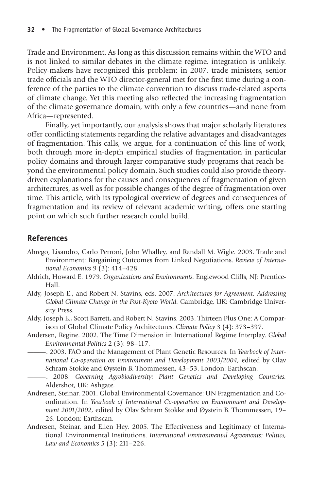Trade and Environment. As long as this discussion remains within the WTO and is not linked to similar debates in the climate regime, integration is unlikely. Policy-makers have recognized this problem: in 2007, trade ministers, senior trade officials and the WTO director-general met for the first time during a conference of the parties to the climate convention to discuss trade-related aspects of climate change. Yet this meeting also reflected the increasing fragmentation of the climate governance domain, with only a few countries—and none from Africa—represented.

Finally, yet importantly, our analysis shows that major scholarly literatures offer conflicting statements regarding the relative advantages and disadvantages of fragmentation. This calls, we argue, for a continuation of this line of work, both through more in-depth empirical studies of fragmentation in particular policy domains and through larger comparative study programs that reach beyond the environmental policy domain. Such studies could also provide theorydriven explanations for the causes and consequences of fragmentation of given architectures, as well as for possible changes of the degree of fragmentation over time. This article, with its typological overview of degrees and consequences of fragmentation and its review of relevant academic writing, offers one starting point on which such further research could build.

## **References**

- Abrego, Lisandro, Carlo Perroni, John Whalley, and Randall M. Wigle. 2003. Trade and Environment: Bargaining Outcomes from Linked Negotiations. *Review of International Economics* 9 (3): 414–428.
- Aldrich, Howard E. 1979. *Organizations and Environments.* Englewood Cliffs, NJ: Prentice-Hall.
- Aldy, Joseph E., and Robert N. Stavins, eds. 2007. *Architectures for Agreement. Addressing Global Climate Change in the Post-Kyoto World.* Cambridge, UK: Cambridge University Press.
- Aldy, Joseph E., Scott Barrett, and Robert N. Stavins. 2003. Thirteen Plus One: A Comparison of Global Climate Policy Architectures. *Climate Policy* 3 (4): 373–397.
- Andersen, Regine. 2002. The Time Dimension in International Regime Interplay. *Global Environmental Politics* 2 (3): 98–117.
	- ———. 2003. FAO and the Management of Plant Genetic Resources. In *Yearbook of International Co-operation on Environment and Development 2003/2004,* edited by Olav Schram Stokke and Øystein B. Thommessen, 43–53. London: Earthscan.
- ———. 2008. *Governing Agrobiodiversity: Plant Genetics and Developing Countries.* Aldershot, UK: Ashgate.
- Andresen, Steinar. 2001. Global Environmental Governance: UN Fragmentation and Coordination. In *Yearbook of International Co-operation on Environment and Development 2001/2002,* edited by Olav Schram Stokke and Øystein B. Thommessen, 19– 26. London: Earthscan.
- Andresen, Steinar, and Ellen Hey. 2005. The Effectiveness and Legitimacy of International Environmental Institutions. *International Environmental Agreements: Politics, Law and Economics* 5 (3): 211–226.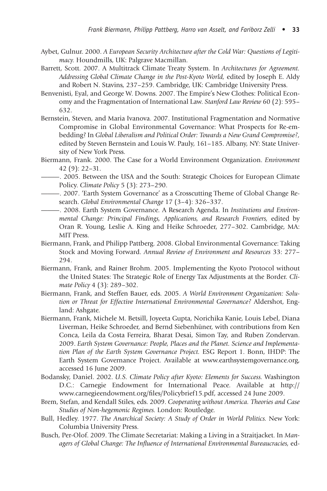- Aybet, Gulnur. 2000. *A European Security Architecture after the Cold War: Questions of Legitimacy.* Houndmills, UK: Palgrave Macmillan.
- Barrett, Scott. 2007. A Multitrack Climate Treaty System. In *Architectures for Agreement. Addressing Global Climate Change in the Post-Kyoto World,* edited by Joseph E. Aldy and Robert N. Stavins, 237–259. Cambridge, UK: Cambridge University Press.
- Benvenisti, Eyal, and George W. Downs. 2007. The Empire's New Clothes: Political Economy and the Fragmentation of International Law. *Stanford Law Review* 60 (2): 595– 632.
- Bernstein, Steven, and Maria Ivanova. 2007. Institutional Fragmentation and Normative Compromise in Global Environmental Governance: What Prospects for Re-embedding? In *Global Liberalism and Political Order: Towards a New Grand Compromise?,* edited by Steven Bernstein and Louis W. Pauly, 161–185. Albany, NY: State University of New York Press.
- Biermann, Frank. 2000. The Case for a World Environment Organization. *Environment* 42 (9): 22–31.
- ———. 2005. Between the USA and the South: Strategic Choices for European Climate Policy. *Climate Policy* 5 (3): 273–290.
- ———. 2007. 'Earth System Governance' as a Crosscutting Theme of Global Change Research. *Global Environmental Change* 17 (3–4): 326–337.
- ———. 2008. Earth System Governance. A Research Agenda. In *Institutions and Environmental Change: Principal Findings, Applications, and Research Frontiers,* edited by Oran R. Young, Leslie A. King and Heike Schroeder, 277–302. Cambridge, MA: MIT Press.
- Biermann, Frank, and Philipp Pattberg. 2008. Global Environmental Governance: Taking Stock and Moving Forward. *Annual Review of Environment and Resources* 33: 277– 294.
- Biermann, Frank, and Rainer Brohm. 2005. Implementing the Kyoto Protocol without the United States: The Strategic Role of Energy Tax Adjustments at the Border. *Climate Policy* 4 (3): 289–302.
- Biermann, Frank, and Steffen Bauer, eds. 2005. *A World Environment Organization: Solution or Threat for Effective International Environmental Governance?* Aldershot, England: Ashgate.
- Biermann, Frank, Michele M. Betsill, Joyeeta Gupta, Norichika Kanie, Louis Lebel, Diana Liverman, Heike Schroeder, and Bernd Siebenhüner, with contributions from Ken Conca, Leila da Costa Ferreira, Bharat Desai, Simon Tay, and Ruben Zondervan. 2009. *Earth System Governance: People, Places and the Planet. Science and Implementation Plan of the Earth System Governance Project.* ESG Report 1. Bonn, IHDP: The Earth System Governance Project. Available at www.earthsystemgovernance.org, accessed 16 June 2009.
- Bodansky, Daniel. 2002. *U.S. Climate Policy after Kyoto: Elements for Success.* Washington D.C.: Carnegie Endowment for International Peace. Available at http:// www.carnegieendowment.org/files/Policybrief15.pdf, accessed 24 June 2009.
- Brem, Stefan, and Kendall Stiles, eds. 2009. *Cooperating without America. Theories and Case Studies of Non-hegemonic Regimes.* London: Routledge.
- Bull, Hedley. 1977. *The Anarchical Society: A Study of Order in World Politics.* New York: Columbia University Press.
- Busch, Per-Olof. 2009. The Climate Secretariat: Making a Living in a Straitjacket. In *Man*agers of Global Change: The Influence of International Environmental Bureaucracies, ed-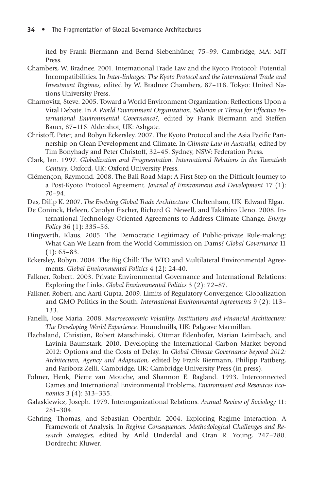ited by Frank Biermann and Bernd Siebenhüner, 75–99. Cambridge, MA: MIT Press.

- Chambers, W. Bradnee. 2001. International Trade Law and the Kyoto Protocol: Potential Incompatibilities. In *Inter-linkages: The Kyoto Protocol and the International Trade and Investment Regimes,* edited by W. Bradnee Chambers, 87–118. Tokyo: United Nations University Press.
- Charnovitz, Steve. 2005. Toward a World Environment Organization: Reflections Upon a Vital Debate. In *A World Environment Organization. Solution or Threat for Effective International Environmental Governance?,* edited by Frank Biermann and Steffen Bauer, 87–116. Aldershot, UK: Ashgate.
- Christoff, Peter, and Robyn Eckersley. 2007. The Kyoto Protocol and the Asia Pacific Partnership on Clean Development and Climate. In *Climate Law in Australia,* edited by Tim Bonyhady and Peter Christoff, 32–45. Sydney, NSW: Federation Press.
- Clark, Ian. 1997. *Globalization and Fragmentation. International Relations in the Twentieth Century.* Oxford, UK: Oxford University Press.
- Clémençon, Raymond. 2008. The Bali Road Map: A First Step on the Difficult Journey to a Post-Kyoto Protocol Agreement. *Journal of Environment and Development* 17 (1): 70–94.
- Das, Dilip K. 2007. *The Evolving Global Trade Architecture.* Cheltenham, UK: Edward Elgar.
- De Coninck, Heleen, Carolyn Fischer, Richard G. Newell, and Takahiro Ueno. 2008. International Technology-Oriented Agreements to Address Climate Change. *Energy Policy* 36 (1): 335–56.
- Dingwerth, Klaus. 2005. The Democratic Legitimacy of Public-private Rule-making: What Can We Learn from the World Commission on Dams? *Global Governance* 11 (1): 65–83.
- Eckersley, Robyn. 2004. The Big Chill: The WTO and Multilateral Environmental Agreements. *Global Environmental Politics* 4 (2): 24-40.
- Falkner, Robert. 2003. Private Environmental Governance and International Relations: Exploring the Links. *Global Environmental Politics* 3 (2): 72–87.
- Falkner, Robert, and Aarti Gupta. 2009. Limits of Regulatory Convergence: Globalization and GMO Politics in the South. *International Environmental Agreements* 9 (2): 113– 133.
- Fanelli, Jose Maria. 2008. *Macroeconomic Volatility, Institutions and Financial Architecture: The Developing World Experience.* Houndmills, UK: Palgrave Macmillan.
- Flachsland, Christian, Robert Marschinski, Ottmar Edenhofer, Marian Leimbach, and Lavinia Baumstark. 2010. Developing the International Carbon Market beyond 2012: Options and the Costs of Delay. In *Global Climate Governance beyond 2012: Architecture, Agency and Adaptation,* edited by Frank Biermann, Philipp Pattberg, and Fariborz Zelli. Cambridge, UK: Cambridge University Press (in press).
- Folmer, Henk, Pierre van Mouche, and Shannon E. Ragland. 1993. Interconnected Games and International Environmental Problems. *Environment and Resources Economics* 3 (4): 313–335.
- Galaskiewicz, Joseph. 1979. Interorganizational Relations. *Annual Review of Sociology* 11: 281–304.
- Gehring, Thomas, and Sebastian Oberthür. 2004. Exploring Regime Interaction: A Framework of Analysis. In *Regime Consequences. Methodological Challenges and Research Strategies,* edited by Arild Underdal and Oran R. Young, 247–280. Dordrecht: Kluwer.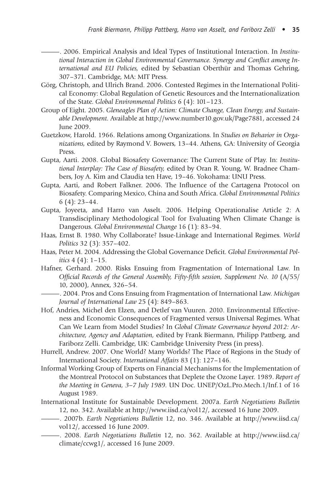- ———. 2006. Empirical Analysis and Ideal Types of Institutional Interaction. In *Institu*tional Interaction in Global Environmental Governance. Synergy and Conflict among In*ternational and EU Policies,* edited by Sebastian Oberthür and Thomas Gehring, 307–371. Cambridge, MA: MIT Press.
- Görg, Christoph, and Ulrich Brand. 2006. Contested Regimes in the International Political Economy: Global Regulation of Genetic Resources and the Internationalization of the State. *Global Environmental Politics* 6 (4): 101–123.
- Group of Eight. 2005. *Gleneagles Plan of Action: Climate Change, Clean Energy, and Sustainable Development.* Available at http://www.number10.gov.uk/Page7881, accessed 24 June 2009.
- Guetzkow, Harold. 1966. Relations among Organizations. In *Studies on Behavior in Organizations,* edited by Raymond V. Bowers, 13–44. Athens, GA: University of Georgia Press.
- Gupta, Aarti. 2008. Global Biosafety Governance: The Current State of Play. In: *Institutional Interplay: The Case of Biosafety,* edited by Oran R. Young, W. Bradnee Chambers, Joy A. Kim and Claudia ten Have, 19–46. Yokohama: UNU Press.
- Gupta, Aarti, and Robert Falkner. 2006. The Influence of the Cartagena Protocol on Biosafety. Comparing Mexico, China and South Africa. *Global Environmental Politics* 6 (4): 23–44.
- Gupta, Joyeeta, and Harro van Asselt. 2006. Helping Operationalise Article 2: A Transdisciplinary Methodological Tool for Evaluating When Climate Change is Dangerous. *Global Environmental Change* 16 (1): 83–94.
- Haas, Ernst B. 1980. Why Collaborate? Issue-Linkage and International Regimes. *World Politics* 32 (3): 357–402.
- Haas, Peter M. 2004. Addressing the Global Governance Deficit. Global Environmental Pol*itics* 4 (4): 1–15.
- Hafner, Gerhard. 2000. Risks Ensuing from Fragmentation of International Law. In *Official Records of the General Assembly, Fifty-fifth session, Supplement No. 10 (A/55/* 10, 2000), Annex, 326–54.
	- ———. 2004. Pros and Cons Ensuing from Fragmentation of International Law. *Michigan Journal of International Law* 25 (4): 849–863.
- Hof, Andries, Michel den Elzen, and Detlef van Vuuren. 2010. Environmental Effectiveness and Economic Consequences of Fragmented versus Universal Regimes. What Can We Learn from Model Studies? In *Global Climate Governance beyond 2012: Architecture, Agency and Adaptation,* edited by Frank Biermann, Philipp Pattberg, and Fariborz Zelli. Cambridge, UK: Cambridge University Press (in press).
- Hurrell, Andrew. 2007. One World? Many Worlds? The Place of Regions in the Study of International Society. *International Affairs* 83 (1): 127–146.
- Informal Working Group of Experts on Financial Mechanisms for the Implementation of the Montreal Protocol on Substances that Deplete the Ozone Layer. 1989. *Report of the Meeting in Geneva, 3–7 July 1989.* UN Doc. UNEP/OzL.Pro.Mech.1/Inf.1 of 16 August 1989.
- International Institute for Sustainable Development. 2007a. *Earth Negotiations Bulletin* 12, no. 342. Available at http://www.iisd.ca/vol12/, accessed 16 June 2009.
	- ———. 2007b. *Earth Negotiations Bulletin* 12, no. 346. Available at http://www.iisd.ca/ vol12/, accessed 16 June 2009.
	- ———. 2008. *Earth Negotiations Bulletin* 12, no. 362. Available at http://www.iisd.ca/ climate/ccwg1/, accessed 16 June 2009.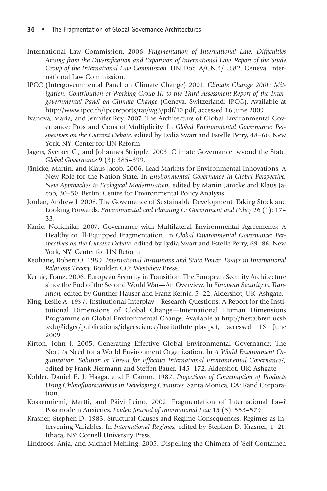- International Law Commission. 2006. *Fragmentation of International Law: Difficulties Arising from the Diversification and Expansion of International Law. Report of the Study Group of the International Law Commission.* UN Doc. A/CN.4/L.682. Geneva: International Law Commission.
- IPCC (Intergovernmental Panel on Climate Change) 2001. *Climate Change 2001: Mitigation. Contribution of Working Group III to the Third Assessment Report of the Intergovernmental Panel on Climate Change* (Geneva, Switzerland: IPCC). Available at http://www.ipcc.ch/ipccreports/tar/wg3/pdf/10.pdf, accessed 16 June 2009.
- Ivanova, Maria, and Jennifer Roy. 2007. The Architecture of Global Environmental Governance: Pros and Cons of Multiplicity. In *Global Environmental Governance: Perspectives on the Current Debate,* edited by Lydia Swart and Estelle Perry, 48–66. New York, NY: Center for UN Reform.
- Jagers, Sverker C., and Johannes Stripple. 2003. Climate Governance beyond the State. *Global Governance* 9 (3): 385–399.
- Jänicke, Martin, and Klaus Jacob. 2006. Lead Markets for Environmental Innovations: A New Role for the Nation State. In *Environmental Governance in Global Perspective. New Approaches to Ecological Modernisation,* edited by Martin Jänicke and Klaus Jacob, 30–50. Berlin: Centre for Environmental Policy Analysis.
- Jordan, Andrew J. 2008. The Governance of Sustainable Development: Taking Stock and Looking Forwards. *Environmental and Planning C: Government and Policy* 26 (1): 17– 33.
- Kanie, Norichika. 2007. Governance with Multilateral Environmental Agreements: A Healthy or Ill-Equipped Fragmentation. In *Global Environmental Governance: Perspectives on the Current Debate,* edited by Lydia Swart and Estelle Perry, 69–86. New York, NY: Center for UN Reform.
- Keohane, Robert O. 1989. *International Institutions and State Power. Essays in International Relations Theory.* Boulder, CO: Westview Press.
- Kernic, Franz. 2006. European Security in Transition: The European Security Architecture since the End of the Second World War—An Overview. In *European Security in Transition,* edited by Gunther Hauser and Franz Kernic, 5–22. Aldershot, UK: Ashgate.
- King, Leslie A. 1997. Institutional Interplay—Research Questions: A Report for the Institutional Dimensions of Global Change—International Human Dimensions Programme on Global Environmental Change. Available at http://fiesta.bren.ucsb .edu/?idgec/publications/idgecscience/InstitutInterplay.pdf, accessed 16 June 2009.
- Kirton, John J. 2005. Generating Effective Global Environmental Governance: The North's Need for a World Environment Organization. In *A World Environment Organization. Solution or Threat for Effective International Environmental Governance?,* edited by Frank Biermann and Steffen Bauer, 145–172. Aldershot, UK: Ashgate.
- Kohler, Daniel F., J. Haaga, and F. Camm. 1987. *Projections of Consumption of Products Using Chloroºuorocarbons in Developing Countries.* Santa Monica, CA: Rand Corporation.
- Koskenniemi, Martti, and Päivi Leino. 2002. Fragmentation of International Law? Postmodern Anxieties. *Leiden Journal of International Law* 15 (3): 553–579.
- Krasner, Stephen D. 1983. Structural Causes and Regime Consequences. Regimes as Intervening Variables. In *International Regimes,* edited by Stephen D. Krasner, 1–21. Ithaca, NY: Cornell University Press.
- Lindroos, Anja, and Michael Mehling. 2005. Dispelling the Chimera of 'Self-Contained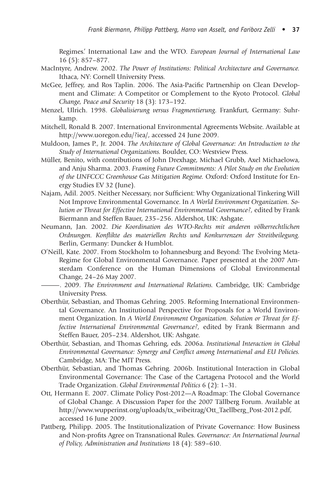Regimes.' International Law and the WTO. *European Journal of International Law* 16 (5): 857–877.

- MacIntyre, Andrew. 2002. *The Power of Institutions: Political Architecture and Governance.* Ithaca, NY: Cornell University Press.
- McGee, Jeffrey, and Ros Taplin. 2006. The Asia-Pacific Partnership on Clean Development and Climate: A Competitor or Complement to the Kyoto Protocol. *Global Change, Peace and Security* 18 (3): 173–192.
- Menzel, Ulrich. 1998. *Globalisierung versus Fragmentierung.* Frankfurt, Germany: Suhrkamp.
- Mitchell, Ronald B. 2007. International Environmental Agreements Website. Available at http://www.uoregon.edu/?iea/, accessed 24 June 2009.
- Muldoon, James P., Jr. 2004. *The Architecture of Global Governance: An Introduction to the Study of International Organizations.* Boulder, CO: Westview Press.
- Müller, Benito, with contributions of John Drexhage, Michael Grubb, Axel Michaelowa, and Anju Sharma. 2003. *Framing Future Commitments: A Pilot Study on the Evolution of the UNFCCC Greenhouse Gas Mitigation Regime.* Oxford: Oxford Institute for Energy Studies EV 32 (June).
- Najam, Adil. 2005. Neither Necessary, nor Sufficient: Why Organizational Tinkering Will Not Improve Environmental Governance. In *A World Environment Organization. Solution or Threat for Effective International Environmental Governance?,* edited by Frank Biermann and Steffen Bauer, 235–256. Aldershot, UK: Ashgate.
- Neumann, Jan. 2002. *Die Koordination des WTO-Rechts mit anderen völkerrechtlichen* Ordnungen. Konflikte des materiellen Rechts und Konkurrenzen der Streitbeilegung. Berlin, Germany: Duncker & Humblot.
- O'Neill, Kate. 2007. From Stockholm to Johannesburg and Beyond: The Evolving Meta-Regime for Global Environmental Governance. Paper presented at the 2007 Amsterdam Conference on the Human Dimensions of Global Environmental Change, 24–26 May 2007.
	- ———. 2009. *The Environment and International Relations.* Cambridge, UK: Cambridge University Press.
- Oberthür, Sebastian, and Thomas Gehring. 2005. Reforming International Environmental Governance. An Institutional Perspective for Proposals for a World Environment Organization. In *A World Environment Organization. Solution or Threat for Effective International Environmental Governance?,* edited by Frank Biermann and Steffen Bauer, 205–234. Aldershot, UK: Ashgate.
- Oberthür, Sebastian, and Thomas Gehring, eds. 2006a. *Institutional Interaction in Global Environmental Governance: Synergy and Conflict among International and EU Policies.* Cambridge, MA: The MIT Press.
- Oberthür, Sebastian, and Thomas Gehring. 2006b. Institutional Interaction in Global Environmental Governance: The Case of the Cartagena Protocol and the World Trade Organization. *Global Environmental Politics* 6 (2): 1–31.
- Ott, Hermann E. 2007. Climate Policy Post-2012—A Roadmap: The Global Governance of Global Change. A Discussion Paper for the 2007 Tällberg Forum. Available at http://www.wupperinst.org/uploads/tx\_wibeitrag/Ott\_Taellberg\_Post-2012.pdf, accessed 16 June 2009.
- Pattberg, Philipp. 2005. The Institutionalization of Private Governance: How Business and Non-profits Agree on Transnational Rules. *Governance: An International Journal of Policy, Administration and Institutions* 18 (4): 589–610.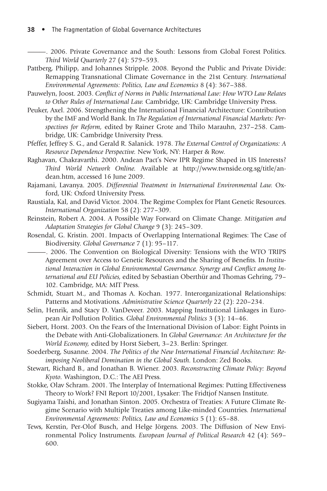#### **38** • The Fragmentation of Global Governance Architectures

———. 2006. Private Governance and the South: Lessons from Global Forest Politics. *Third World Quarterly* 27 (4): 579–593.

- Pattberg, Philipp, and Johannes Stripple. 2008. Beyond the Public and Private Divide: Remapping Transnational Climate Governance in the 21st Century. *International Environmental Agreements: Politics, Law and Economics* 8 (4): 367–388.
- Pauwelyn, Joost. 2003. Conflict of Norms in Public International Law: How WTO Law Relates *to Other Rules of International Law.* Cambridge, UK: Cambridge University Press.
- Peuker, Axel. 2006. Strengthening the International Financial Architecture: Contribution by the IMF and World Bank. In *The Regulation of International Financial Markets: Perspectives for Reform,* edited by Rainer Grote and Thilo Marauhn, 237–258. Cambridge, UK: Cambridge University Press.
- Pfeffer, Jeffrey S. G., and Gerald R. Salanick. 1978. *The External Control of Organizations: A Resource Dependence Perspective.* New York, NY: Harper & Row.
- Raghavan, Chakravarthi. 2000. Andean Pact's New IPR Regime Shaped in US Interests? *Third World Network Online.* Available at http://www.twnside.org.sg/title/andean.htm, accessed 16 June 2009.
- Rajamani, Lavanya. 2005. *Differential Treatment in International Environmental Law.* Oxford, UK: Oxford University Press.
- Raustiala, Kal, and David Victor. 2004. The Regime Complex for Plant Genetic Resources. *International Organization* 58 (2): 277–309.
- Reinstein, Robert A. 2004. A Possible Way Forward on Climate Change. *Mitigation and Adaptation Strategies for Global Change* 9 (3): 245–309.
- Rosendal, G. Kristin. 2001. Impacts of Overlapping International Regimes: The Case of Biodiversity. *Global Governance* 7 (1): 95–117.
	- ———. 2006. The Convention on Biological Diversity: Tensions with the WTO TRIPS Agreement over Access to Genetic Resources and the Sharing of Benefits. In *Institu*tional Interaction in Global Environmental Governance. Synergy and Conflict among In*ternational and EU Policies,* edited by Sebastian Oberthür and Thomas Gehring, 79– 102. Cambridge, MA: MIT Press.
- Schmidt, Stuart M., and Thomas A. Kochan. 1977. Interorganizational Relationships: Patterns and Motivations. *Administrative Science Quarterly* 22 (2): 220–234.
- Selin, Henrik, and Stacy D. VanDeveer. 2003. Mapping Institutional Linkages in European Air Pollution Politics. *Global Environmental Politics* 3 (3): 14–46.
- Siebert, Horst. 2003. On the Fears of the International Division of Labor: Eight Points in the Debate with Anti-Globalizationers. In *Global Governance: An Architecture for the World Economy,* edited by Horst Siebert, 3–23. Berlin: Springer.
- Soederberg, Susanne. 2004. *The Politics of the New International Financial Architecture: Reimposing Neoliberal Domination in the Global South.* London: Zed Books.
- Stewart, Richard B., and Jonathan B. Wiener. 2003. *Reconstructing Climate Policy: Beyond Kyoto.* Washington, D.C.: The AEI Press.
- Stokke, Olav Schram. 2001. The Interplay of International Regimes: Putting Effectiveness Theory to Work? FNI Report 10/2001, Lysaker: The Fridtjof Nansen Institute.
- Sugiyama Taishi, and Jonathan Sinton. 2005. Orchestra of Treaties: A Future Climate Regime Scenario with Multiple Treaties among Like-minded Countries. *International Environmental Agreements: Politics, Law and Economics* 5 (1): 65–88.
- Tews, Kerstin, Per-Olof Busch, and Helge Jörgens. 2003. The Diffusion of New Environmental Policy Instruments. *European Journal of Political Research* 42 (4): 569– 600.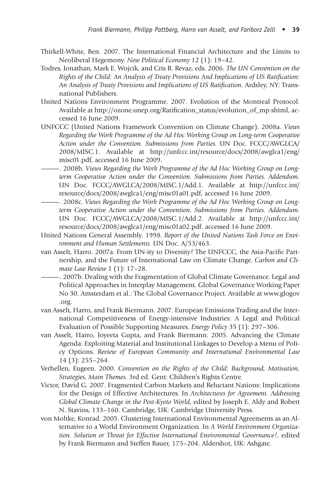- Thirkell-White, Ben. 2007. The International Financial Architecture and the Limits to Neoliberal Hegemony. *New Political Economy* 12 (1): 19–42.
- Todres, Jonathan, Mark E. Wojcik, and Cris R. Revaz, eds. 2006. *The UN Convention on the Rights of the Child: An Analysis of Treaty Provisions And Implications of US Ratification:* An Analysis of Treaty Provisions and Implications of US Ratification. Ardsley, NY: Transnational Publishers.
- United Nations Environment Programme. 2007. Evolution of the Montreal Protocol. Available at http://ozone.unep.org/Ratification\_status/evolution\_of\_mp.shtml, accessed 16 June 2009.
- UNFCCC (United Nations Framework Convention on Climate Change). 2008a. *Views Regarding the Work Programme of the Ad Hoc Working Group on Long-term Cooperative Action under the Convention. Submissions from Parties.* UN Doc. FCCC/AWGLCA/ 2008/MISC.1. Available at http://unfccc.int/resource/docs/2008/awglca1/eng/ misc01.pdf, accessed 16 June 2009.
- $-$ . 2008b. *Views Regarding the Work Programme of the Ad Hoc Working Group on Longterm Cooperative Action under the Convention. Submissions from Parties. Addendum.* UN Doc. FCCC/AWGLCA/2008/MISC.1/Add.1. Available at http://unfccc.int/ resource/docs/2008/awglca1/eng/misc01a01.pdf, accessed 16 June 2009.
- $-$ . 2008c. *Views Regarding the Work Programme of the Ad Hoc Working Group on Longterm Cooperative Action under the Convention. Submissions from Parties. Addendum.* UN Doc. FCCC/AWGLCA/2008/MISC.1/Add.2. Available at http://unfccc.int/ resource/docs/2008/awglca1/eng/misc01a02.pdf. accessed 16 June 2009.
- United Nations General Assembly. 1998. *Report of the United Nations Task Force on Environment and Human Settlements.* UN Doc. A/53/463.
- van Asselt, Harro. 2007a. From UN-ity to Diversity? The UNFCCC, the Asia-Pacific Partnership, and the Future of International Law on Climate Change. *Carbon and Climate Law Review* 1 (1): 17–28.
- -. 2007b. Dealing with the Fragmentation of Global Climate Governance. Legal and Political Approaches in Interplay Management. Global Governance Working Paper No 30. Amsterdam et al.: The Global Governance Project. Available at www.glogov .org.
- van Asselt, Harro, and Frank Biermann. 2007. European Emissions Trading and the International Competitiveness of Energy-intensive Industries: A Legal and Political Evaluation of Possible Supporting Measures. *Energy Policy* 35 (1): 297–306.
- van Asselt, Harro, Joyeeta Gupta, and Frank Biermann. 2005. Advancing the Climate Agenda: Exploiting Material and Institutional Linkages to Develop a Menu of Policy Options. *Review of European Community and International Environmental Law* 14 (3): 255–264.
- Verhellen, Eugeen. 2000. *Convention on the Rights of the Child: Background, Motivation, Strategies, Main Themes.* 3rd ed. Gent: Children's Rights Centre.
- Victor, David G. 2007. Fragmented Carbon Markets and Reluctant Nations: Implications for the Design of Effective Architectures. In *Architectures for Agreement. Addressing Global Climate Change in the Post-Kyoto World,* edited by Joseph E. Aldy and Robert N. Stavins, 133–160. Cambridge, UK: Cambridge University Press.
- von Moltke, Konrad. 2005. Clustering International Environmental Agreements as an Alternative to a World Environment Organization. In *A World Environment Organization. Solution or Threat for Effective International Environmental Governance?,* edited by Frank Biermann and Steffen Bauer, 175–204. Aldershot, UK: Ashgate.